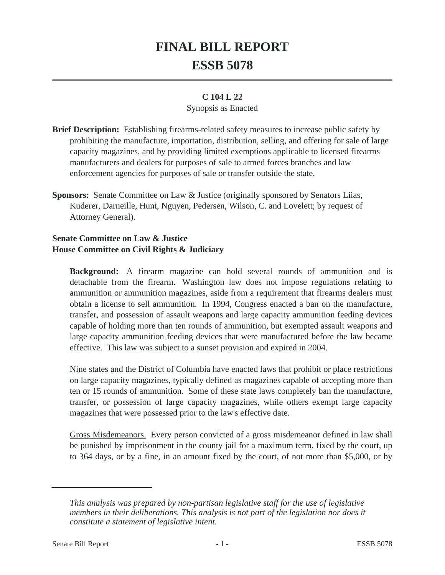# **FINAL BILL REPORT ESSB 5078**

#### **C 104 L 22**

#### Synopsis as Enacted

- **Brief Description:** Establishing firearms-related safety measures to increase public safety by prohibiting the manufacture, importation, distribution, selling, and offering for sale of large capacity magazines, and by providing limited exemptions applicable to licensed firearms manufacturers and dealers for purposes of sale to armed forces branches and law enforcement agencies for purposes of sale or transfer outside the state.
- **Sponsors:** Senate Committee on Law & Justice (originally sponsored by Senators Liias, Kuderer, Darneille, Hunt, Nguyen, Pedersen, Wilson, C. and Lovelett; by request of Attorney General).

### **Senate Committee on Law & Justice House Committee on Civil Rights & Judiciary**

**Background:** A firearm magazine can hold several rounds of ammunition and is detachable from the firearm. Washington law does not impose regulations relating to ammunition or ammunition magazines, aside from a requirement that firearms dealers must obtain a license to sell ammunition. In 1994, Congress enacted a ban on the manufacture, transfer, and possession of assault weapons and large capacity ammunition feeding devices capable of holding more than ten rounds of ammunition, but exempted assault weapons and large capacity ammunition feeding devices that were manufactured before the law became effective. This law was subject to a sunset provision and expired in 2004.

Nine states and the District of Columbia have enacted laws that prohibit or place restrictions on large capacity magazines, typically defined as magazines capable of accepting more than ten or 15 rounds of ammunition. Some of these state laws completely ban the manufacture, transfer, or possession of large capacity magazines, while others exempt large capacity magazines that were possessed prior to the law's effective date.

Gross Misdemeanors. Every person convicted of a gross misdemeanor defined in law shall be punished by imprisonment in the county jail for a maximum term, fixed by the court, up to 364 days, or by a fine, in an amount fixed by the court, of not more than \$5,000, or by

*This analysis was prepared by non-partisan legislative staff for the use of legislative members in their deliberations. This analysis is not part of the legislation nor does it constitute a statement of legislative intent.*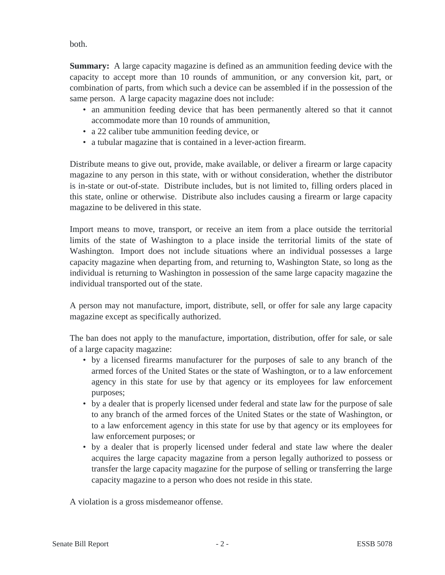both.

**Summary:** A large capacity magazine is defined as an ammunition feeding device with the capacity to accept more than 10 rounds of ammunition, or any conversion kit, part, or combination of parts, from which such a device can be assembled if in the possession of the same person. A large capacity magazine does not include:

- an ammunition feeding device that has been permanently altered so that it cannot accommodate more than 10 rounds of ammunition,
- a 22 caliber tube ammunition feeding device, or
- a tubular magazine that is contained in a lever-action firearm.

Distribute means to give out, provide, make available, or deliver a firearm or large capacity magazine to any person in this state, with or without consideration, whether the distributor is in-state or out-of-state. Distribute includes, but is not limited to, filling orders placed in this state, online or otherwise. Distribute also includes causing a firearm or large capacity magazine to be delivered in this state.

Import means to move, transport, or receive an item from a place outside the territorial limits of the state of Washington to a place inside the territorial limits of the state of Washington. Import does not include situations where an individual possesses a large capacity magazine when departing from, and returning to, Washington State, so long as the individual is returning to Washington in possession of the same large capacity magazine the individual transported out of the state.

A person may not manufacture, import, distribute, sell, or offer for sale any large capacity magazine except as specifically authorized.

The ban does not apply to the manufacture, importation, distribution, offer for sale, or sale of a large capacity magazine:

- by a licensed firearms manufacturer for the purposes of sale to any branch of the armed forces of the United States or the state of Washington, or to a law enforcement agency in this state for use by that agency or its employees for law enforcement purposes;
- by a dealer that is properly licensed under federal and state law for the purpose of sale to any branch of the armed forces of the United States or the state of Washington, or to a law enforcement agency in this state for use by that agency or its employees for law enforcement purposes; or
- by a dealer that is properly licensed under federal and state law where the dealer acquires the large capacity magazine from a person legally authorized to possess or transfer the large capacity magazine for the purpose of selling or transferring the large capacity magazine to a person who does not reside in this state.

A violation is a gross misdemeanor offense.